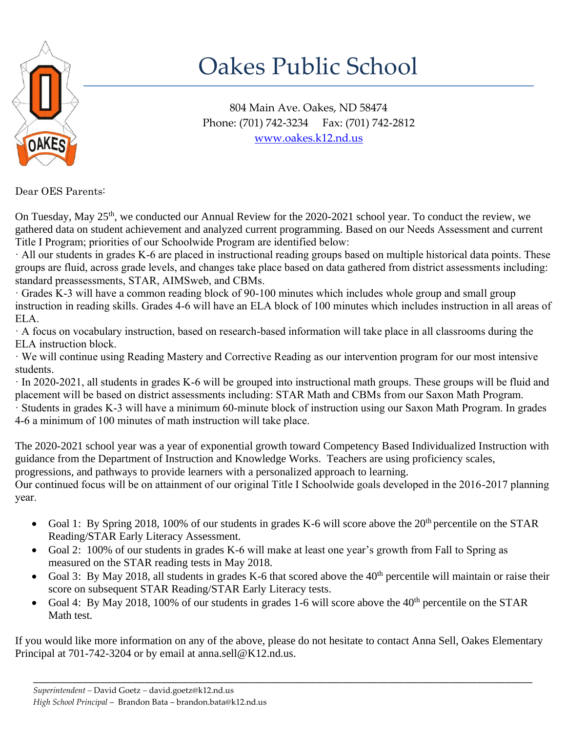

## Oakes Public School

804 Main Ave. Oakes, ND 58474 Phone: (701) 742-3234 Fax: (701) 742-2812 [www.oakes.k12.nd.us](http://www.oakes.k12.nd.us/)

Dear OES Parents:

On Tuesday, May 25<sup>th</sup>, we conducted our Annual Review for the 2020-2021 school year. To conduct the review, we gathered data on student achievement and analyzed current programming. Based on our Needs Assessment and current Title I Program; priorities of our Schoolwide Program are identified below:

· All our students in grades K-6 are placed in instructional reading groups based on multiple historical data points. These groups are fluid, across grade levels, and changes take place based on data gathered from district assessments including: standard preassessments, STAR, AIMSweb, and CBMs.

· Grades K-3 will have a common reading block of 90-100 minutes which includes whole group and small group instruction in reading skills. Grades 4-6 will have an ELA block of 100 minutes which includes instruction in all areas of ELA.

· A focus on vocabulary instruction, based on research-based information will take place in all classrooms during the ELA instruction block.

· We will continue using Reading Mastery and Corrective Reading as our intervention program for our most intensive students.

· In 2020-2021, all students in grades K-6 will be grouped into instructional math groups. These groups will be fluid and placement will be based on district assessments including: STAR Math and CBMs from our Saxon Math Program. · Students in grades K-3 will have a minimum 60-minute block of instruction using our Saxon Math Program. In grades 4-6 a minimum of 100 minutes of math instruction will take place.

The 2020-2021 school year was a year of exponential growth toward Competency Based Individualized Instruction with guidance from the Department of Instruction and Knowledge Works. Teachers are using proficiency scales, progressions, and pathways to provide learners with a personalized approach to learning.

Our continued focus will be on attainment of our original Title I Schoolwide goals developed in the 2016-2017 planning year.

- Goal 1: By Spring 2018, 100% of our students in grades K-6 will score above the 20<sup>th</sup> percentile on the STAR Reading/STAR Early Literacy Assessment.
- Goal 2: 100% of our students in grades K-6 will make at least one year's growth from Fall to Spring as measured on the STAR reading tests in May 2018.
- Goal 3: By May 2018, all students in grades K-6 that scored above the 40<sup>th</sup> percentile will maintain or raise their score on subsequent STAR Reading/STAR Early Literacy tests.
- Goal 4: By May 2018, 100% of our students in grades 1-6 will score above the 40<sup>th</sup> percentile on the STAR Math test.

If you would like more information on any of the above, please do not hesitate to contact Anna Sell, Oakes Elementary Principal at 701-742-3204 or by email at anna.sell@K12.nd.us.

\_\_\_\_\_\_\_\_\_\_\_\_\_\_\_\_\_\_\_\_\_\_\_\_\_\_\_\_\_\_\_\_\_\_\_\_\_\_\_\_\_\_\_\_\_\_\_\_\_\_\_\_\_\_\_\_\_\_\_\_\_\_\_\_\_\_\_\_\_\_\_\_\_\_\_\_\_\_\_\_\_\_\_\_\_\_\_\_\_\_